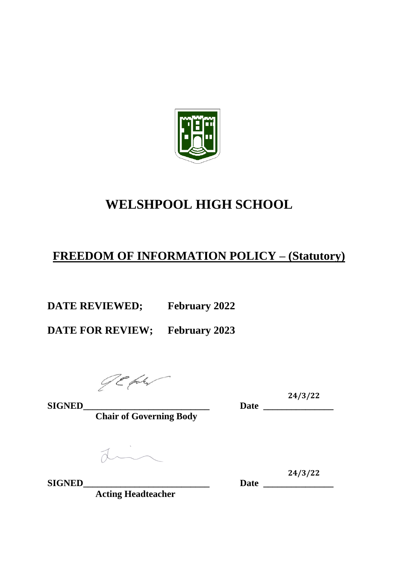

# **WELSHPOOL HIGH SCHOOL**

# **FREEDOM OF INFORMATION POLICY – (Statutory)**

**DATE REVIEWED; February 2022**

**DATE FOR REVIEW; February 2023**

**Chair of Governing Body**

din

**SIGNED\_\_\_\_\_\_\_\_\_\_\_\_\_\_\_\_\_\_\_\_\_\_\_\_\_\_\_ Date \_\_\_\_\_\_\_\_\_\_\_\_\_\_\_**

**Acting Headteacher**

**24/3/22 SIGNED\_\_\_\_\_\_\_\_\_\_\_\_\_\_\_\_\_\_\_\_\_\_\_\_\_\_\_ Date \_\_\_\_\_\_\_\_\_\_\_\_\_\_\_**

24/3/22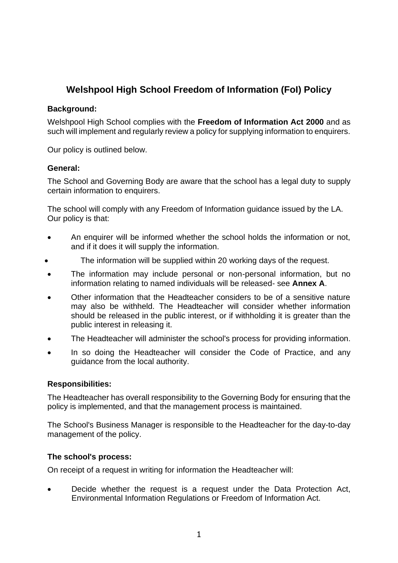# **Welshpool High School Freedom of Information (FoI) Policy**

#### **Background:**

Welshpool High School complies with the **Freedom of Information Act 2000** and as such will implement and regularly review a policy for supplying information to enquirers.

Our policy is outlined below.

#### **General:**

The School and Governing Body are aware that the school has a legal duty to supply certain information to enquirers.

The school will comply with any Freedom of Information guidance issued by the LA. Our policy is that:

- An enquirer will be informed whether the school holds the information or not, and if it does it will supply the information.
- The information will be supplied within 20 working days of the request.
- The information may include personal or non-personal information, but no information relating to named individuals will be released- see **Annex A**.
- Other information that the Headteacher considers to be of a sensitive nature may also be withheld. The Headteacher will consider whether information should be released in the public interest, or if withholding it is greater than the public interest in releasing it.
- The Headteacher will administer the school's process for providing information.
- In so doing the Headteacher will consider the Code of Practice, and any guidance from the local authority.

# **Responsibilities:**

The Headteacher has overall responsibility to the Governing Body for ensuring that the policy is implemented, and that the management process is maintained.

The School's Business Manager is responsible to the Headteacher for the day-to-day management of the policy.

# **The school's process:**

On receipt of a request in writing for information the Headteacher will:

• Decide whether the request is a request under the Data Protection Act, Environmental Information Regulations or Freedom of Information Act.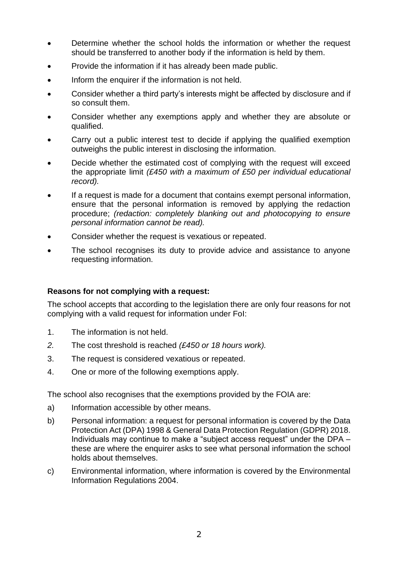- Determine whether the school holds the information or whether the request should be transferred to another body if the information is held by them.
- Provide the information if it has already been made public.
- Inform the enquirer if the information is not held.
- Consider whether a third party's interests might be affected by disclosure and if so consult them.
- Consider whether any exemptions apply and whether they are absolute or qualified.
- Carry out a public interest test to decide if applying the qualified exemption outweighs the public interest in disclosing the information.
- Decide whether the estimated cost of complying with the request will exceed the appropriate limit *(£450 with a maximum of £50 per individual educational record).*
- If a request is made for a document that contains exempt personal information, ensure that the personal information is removed by applying the redaction procedure; *(redaction: completely blanking out and photocopying to ensure personal information cannot be read).*
- Consider whether the request is vexatious or repeated.
- The school recognises its duty to provide advice and assistance to anyone requesting information.

#### **Reasons for not complying with a request:**

The school accepts that according to the legislation there are only four reasons for not complying with a valid request for information under FoI:

- 1. The information is not held.
- *2.* The cost threshold is reached *(£450 or 18 hours work).*
- 3. The request is considered vexatious or repeated.
- 4. One or more of the following exemptions apply.

The school also recognises that the exemptions provided by the FOIA are:

- a) Information accessible by other means.
- b) Personal information: a request for personal information is covered by the Data Protection Act (DPA) 1998 & General Data Protection Regulation (GDPR) 2018. Individuals may continue to make a "subject access request" under the DPA – these are where the enquirer asks to see what personal information the school holds about themselves.
- c) Environmental information, where information is covered by the Environmental Information Regulations 2004.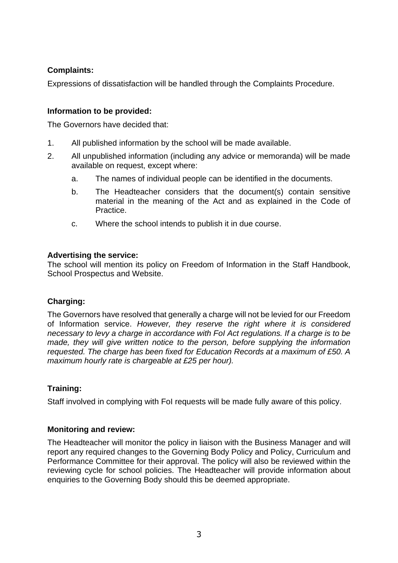# **Complaints:**

Expressions of dissatisfaction will be handled through the Complaints Procedure.

# **Information to be provided:**

The Governors have decided that:

- 1. All published information by the school will be made available.
- 2. All unpublished information (including any advice or memoranda) will be made available on request, except where:
	- a. The names of individual people can be identified in the documents.
	- b. The Headteacher considers that the document(s) contain sensitive material in the meaning of the Act and as explained in the Code of Practice.
	- c. Where the school intends to publish it in due course.

#### **Advertising the service:**

The school will mention its policy on Freedom of Information in the Staff Handbook, School Prospectus and Website.

# **Charging:**

The Governors have resolved that generally a charge will not be levied for our Freedom of Information service. *However, they reserve the right where it is considered necessary to levy a charge in accordance with FoI Act regulations. If a charge is to be made, they will give written notice to the person, before supplying the information requested. The charge has been fixed for Education Records at a maximum of £50. A maximum hourly rate is chargeable at £25 per hour).*

# **Training:**

Staff involved in complying with FoI requests will be made fully aware of this policy.

#### **Monitoring and review:**

The Headteacher will monitor the policy in liaison with the Business Manager and will report any required changes to the Governing Body Policy and Policy, Curriculum and Performance Committee for their approval. The policy will also be reviewed within the reviewing cycle for school policies. The Headteacher will provide information about enquiries to the Governing Body should this be deemed appropriate.